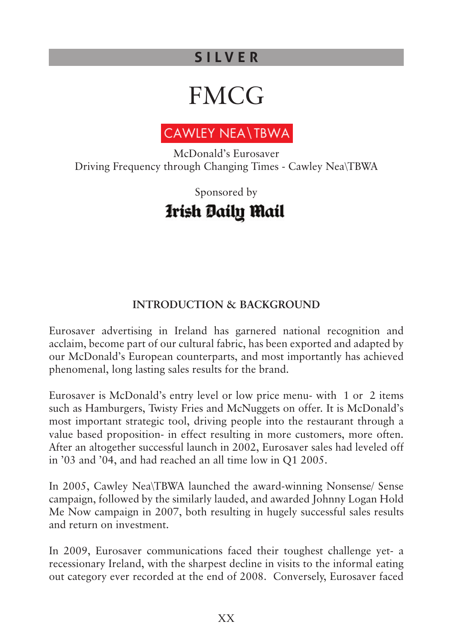# **FMCG**



McDonald's Eurosaver Driving Frequency through Changing Times - Cawley Nea\TBWA

# Sponsored byIrish Daily Mail

# **INTRODUCTION & BACKGROUND**

Eurosaver advertising in Ireland has garnered national recognition and acclaim, become part of our cultural fabric, has been exported and adapted by our McDonald's European counterparts, and most importantly has achieved phenomenal, long lasting sales results for the brand.

Eurosaver is McDonald's entry level or low price menu- with  $\bigoplus$  or  $\bigoplus$  items such as Hamburgers, Twisty Fries and McNuggets on offer. It is McDonald's most important strategic tool, driving people into the restaurant through a value based proposition- in effect resulting in more customers, more often. After an altogether successful launch in 2002, Eurosaver sales had leveled off in '03 and '04, and had reached an all time low in Q1 2005.

In 2005, Cawley Nea\TBWA launched the award-winning Nonsense/ Sense campaign, followed by the similarly lauded, and awarded Johnny Logan Hold Me Now campaign in 2007, both resulting in hugely successful sales results and return on investment.

In 2009, Eurosaver communications faced their toughest challenge yet- a recessionary Ireland, with the sharpest decline in visits to the informal eating out category ever recorded at the end of 2008. Conversely, Eurosaver faced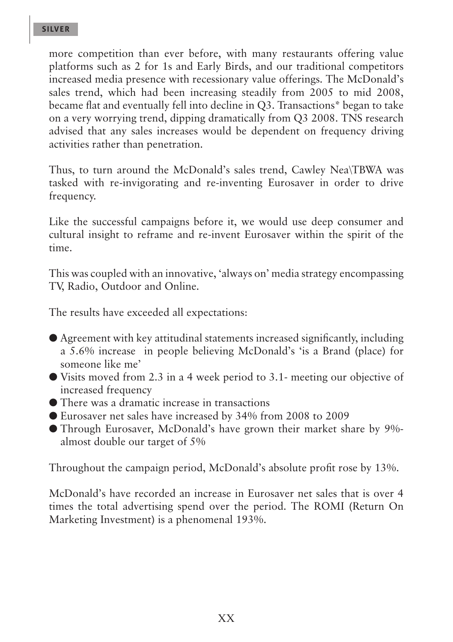more competition than ever before, with many restaurants offering value platforms such as 2 for 1s and Early Birds, and our traditional competitors increased media presence with recessionary value offerings. The McDonald's sales trend, which had been increasing steadily from 2005 to mid 2008, became flat and eventually fell into decline in Q3. Transactions\* began to take on a very worrying trend, dipping dramatically from Q3 2008. TNS research advised that any sales increases would be dependent on frequency driving activities rather than penetration.

Thus, to turn around the McDonald's sales trend, Cawley Nea\TBWA was tasked with re-invigorating and re-inventing Eurosaver in order to drive frequency.

Like the successful campaigns before it, we would use deep consumer and cultural insight to reframe and re-invent Eurosaver within the spirit of the time.

This was coupled with an innovative, 'always on' media strategy encompassing TV, Radio, Outdoor and Online.

The results have exceeded all expectations:

- l Agreement with key attitudinal statements increased significantly, including a 5.6% increase in people believing McDonald's 'is a Brand (place) for someone like me'
- $\bullet$  Visits moved from 2.3 in a 4 week period to 3.1- meeting our objective of increased frequency
- l There was a dramatic increase in transactions
- l Eurosaver net sales have increased by 34% from 2008 to 2009
- **Through Eurosaver, McDonald's have grown their market share by 9%**almost double our target of 5%

Throughout the campaign period, McDonald's absolute profit rose by 13%.

McDonald's have recorded an increase in Eurosaver net sales that is over 4 times the total advertising spend over the period. The ROMI (Return On Marketing Investment) is a phenomenal 193%.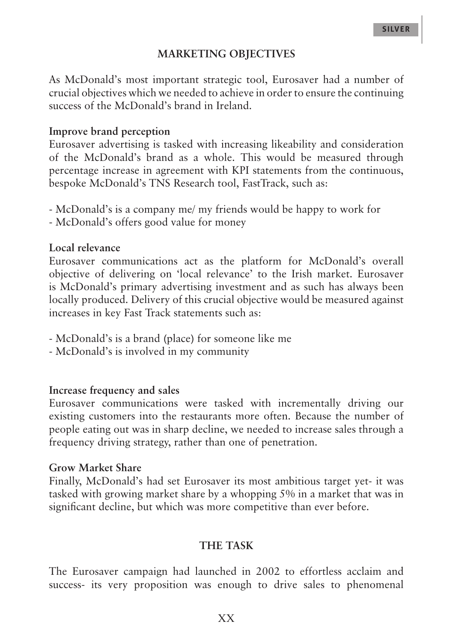#### **MARKETING OBJECTIVES**

As McDonald's most important strategic tool, Eurosaver had a number of crucial objectives which we needed to achieve in order to ensure the continuing success of the McDonald's brand in Ireland.

#### **Improve brand perception**

Eurosaver advertising is tasked with increasing likeability and consideration of the McDonald's brand as a whole. This would be measured through percentage increase in agreement with KPI statements from the continuous, bespoke McDonald's TNS Research tool, FastTrack, such as:

- McDonald's is a company me/ my friends would be happy to work for
- McDonald's offers good value for money

# **Local relevance**

Eurosaver communications act as the platform for McDonald's overall objective of delivering on 'local relevance' to the Irish market. Eurosaver is McDonald's primary advertising investment and as such has always been locally produced. Delivery of this crucial objective would be measured against increases in key Fast Track statements such as:

- McDonald's is a brand (place) for someone like me
- McDonald's is involved in my community

#### **Increase frequency and sales**

Eurosaver communications were tasked with incrementally driving our existing customers into the restaurants more often. Because the number of people eating out was in sharp decline, we needed to increase sales through a frequency driving strategy, rather than one of penetration.

#### **Grow Market Share**

Finally, McDonald's had set Eurosaver its most ambitious target yet- it was tasked with growing market share by a whopping 5% in a market that was in significant decline, but which was more competitive than ever before.

#### **THE TASK**

The Eurosaver campaign had launched in 2002 to effortless acclaim and success- its very proposition was enough to drive sales to phenomenal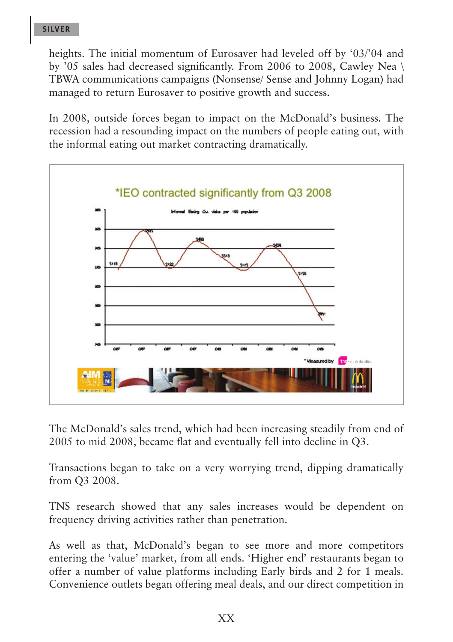heights. The initial momentum of Eurosaver had leveled off by '03/'04 and by '05 sales had decreased significantly. From 2006 to 2008, Cawley Nea \ TBWA communications campaigns (Nonsense/ Sense and Johnny Logan) had managed to return Eurosaver to positive growth and success.

In 2008, outside forces began to impact on the McDonald's business. The recession had a resounding impact on the numbers of people eating out, with the informal eating out market contracting dramatically.



The McDonald's sales trend, which had been increasing steadily from end of 2005 to mid 2008, became flat and eventually fell into decline in Q3.

Transactions began to take on a very worrying trend, dipping dramatically from Q3 2008.

TNS research showed that any sales increases would be dependent on frequency driving activities rather than penetration.

As well as that, McDonald's began to see more and more competitors entering the 'value' market, from all ends. 'Higher end' restaurants began to offer a number of value platforms including Early birds and 2 for 1 meals. Convenience outlets began offering meal deals, and our direct competition in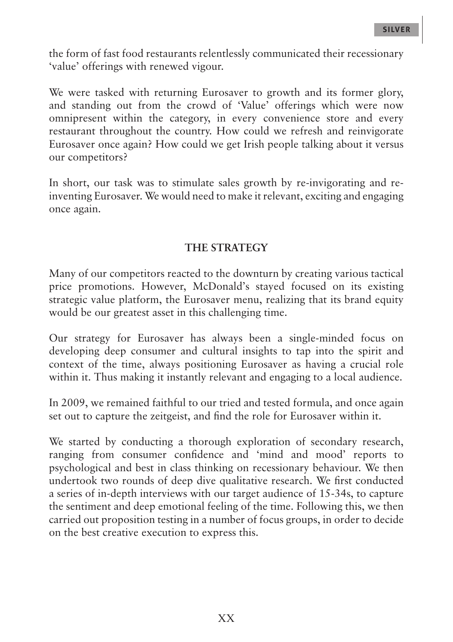the form of fast food restaurants relentlessly communicated their recessionary 'value' offerings with renewed vigour.

We were tasked with returning Eurosaver to growth and its former glory, and standing out from the crowd of 'Value' offerings which were now omnipresent within the category, in every convenience store and every restaurant throughout the country. How could we refresh and reinvigorate Eurosaver once again? How could we get Irish people talking about it versus our competitors?

In short, our task was to stimulate sales growth by re-invigorating and reinventing Eurosaver. We would need to make it relevant, exciting and engaging once again.

# **THE STRATEGY**

Many of our competitors reacted to the downturn by creating various tactical price promotions. However, McDonald's stayed focused on its existing strategic value platform, the Eurosaver menu, realizing that its brand equity would be our greatest asset in this challenging time.

Our strategy for Eurosaver has always been a single-minded focus on developing deep consumer and cultural insights to tap into the spirit and context of the time, always positioning Eurosaver as having a crucial role within it. Thus making it instantly relevant and engaging to a local audience.

In 2009, we remained faithful to our tried and tested formula, and once again set out to capture the zeitgeist, and find the role for Eurosaver within it.

We started by conducting a thorough exploration of secondary research, ranging from consumer confidence and 'mind and mood' reports to psychological and best in class thinking on recessionary behaviour. We then undertook two rounds of deep dive qualitative research. We first conducted a series of in-depth interviews with our target audience of 15-34s, to capture the sentiment and deep emotional feeling of the time. Following this, we then carried out proposition testing in a number of focus groups, in order to decide on the best creative execution to express this.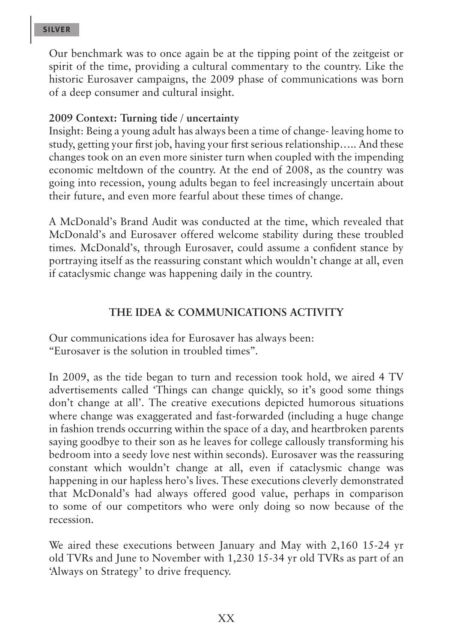Our benchmark was to once again be at the tipping point of the zeitgeist or spirit of the time, providing a cultural commentary to the country. Like the historic Eurosaver campaigns, the 2009 phase of communications was born of a deep consumer and cultural insight.

### **2009 Context: Turning tide / uncertainty**

Insight: Being a young adult has always been a time of change- leaving home to study, getting your first job, having your first serious relationship….. And these changes took on an even more sinister turn when coupled with the impending economic meltdown of the country. At the end of 2008, as the country was going into recession, young adults began to feel increasingly uncertain about their future, and even more fearful about these times of change.

A McDonald's Brand Audit was conducted at the time, which revealed that McDonald's and Eurosaver offered welcome stability during these troubled times. McDonald's, through Eurosaver, could assume a confident stance by portraying itself as the reassuring constant which wouldn't change at all, even if cataclysmic change was happening daily in the country.

# **THE IDEA & COMMUNICATIONS ACTIVITY**

Our communications idea for Eurosaver has always been: "Eurosaver is the solution in troubled times".

In 2009, as the tide began to turn and recession took hold, we aired 4 TV advertisements called 'Things can change quickly, so it's good some things don't change at all'. The creative executions depicted humorous situations where change was exaggerated and fast-forwarded (including a huge change in fashion trends occurring within the space of a day, and heartbroken parents saying goodbye to their son as he leaves for college callously transforming his bedroom into a seedy love nest within seconds). Eurosaver was the reassuring constant which wouldn't change at all, even if cataclysmic change was happening in our hapless hero's lives. These executions cleverly demonstrated that McDonald's had always offered good value, perhaps in comparison to some of our competitors who were only doing so now because of the recession.

We aired these executions between January and May with 2,160 15-24 yr old TVRs and June to November with 1,230 15-34 yr old TVRs as part of an 'Always on Strategy' to drive frequency.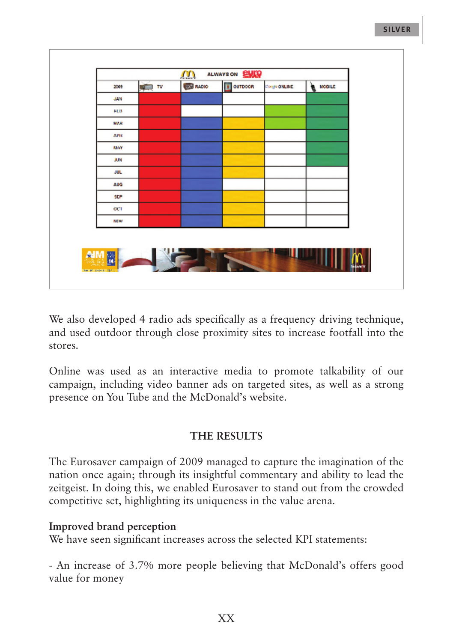| <b>DE RADIO</b><br>OUTDOOR<br><b>W</b> NODILE<br><b>ALL</b> IV<br><b>Congle ONLINE</b><br>2009<br>JAN<br>FEB |  |
|--------------------------------------------------------------------------------------------------------------|--|
|                                                                                                              |  |
|                                                                                                              |  |
| MAR                                                                                                          |  |
|                                                                                                              |  |
| APR                                                                                                          |  |
| <b>F16Y</b>                                                                                                  |  |
| JUN                                                                                                          |  |
| JUL                                                                                                          |  |
| AUG                                                                                                          |  |
| SEP                                                                                                          |  |
| CCT                                                                                                          |  |
| <b>NOW</b>                                                                                                   |  |

We also developed 4 radio ads specifically as a frequency driving technique, and used outdoor through close proximity sites to increase footfall into the stores.

Online was used as an interactive media to promote talkability of our campaign, including video banner ads on targeted sites, as well as a strong presence on You Tube and the McDonald's website.

# **THE RESULTS**

The Eurosaver campaign of 2009 managed to capture the imagination of the nation once again; through its insightful commentary and ability to lead the zeitgeist. In doing this, we enabled Eurosaver to stand out from the crowded competitive set, highlighting its uniqueness in the value arena.

# **Improved brand perception**

We have seen significant increases across the selected KPI statements:

- An increase of 3.7% more people believing that McDonald's offers good value for money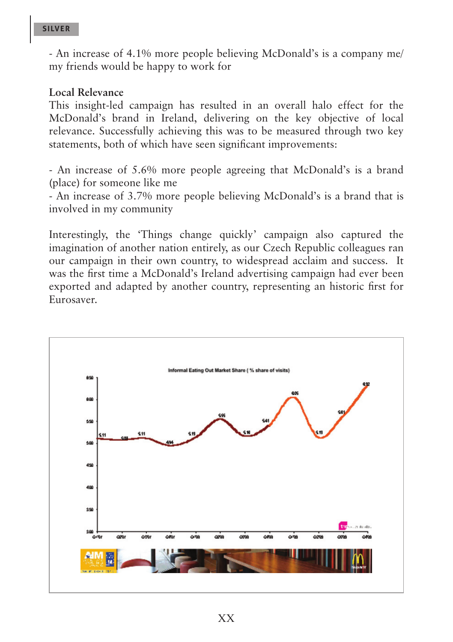- An increase of 4.1% more people believing McDonald's is a company me/ my friends would be happy to work for

#### **Local Relevance**

This insight-led campaign has resulted in an overall halo effect for the McDonald's brand in Ireland, delivering on the key objective of local relevance. Successfully achieving this was to be measured through two key statements, both of which have seen significant improvements:

- An increase of 5.6% more people agreeing that McDonald's is a brand (place) for someone like me

- An increase of 3.7% more people believing McDonald's is a brand that is involved in my community

Interestingly, the 'Things change quickly' campaign also captured the imagination of another nation entirely, as our Czech Republic colleagues ran our campaign in their own country, to widespread acclaim and success. It was the first time a McDonald's Ireland advertising campaign had ever been exported and adapted by another country, representing an historic first for Eurosaver.